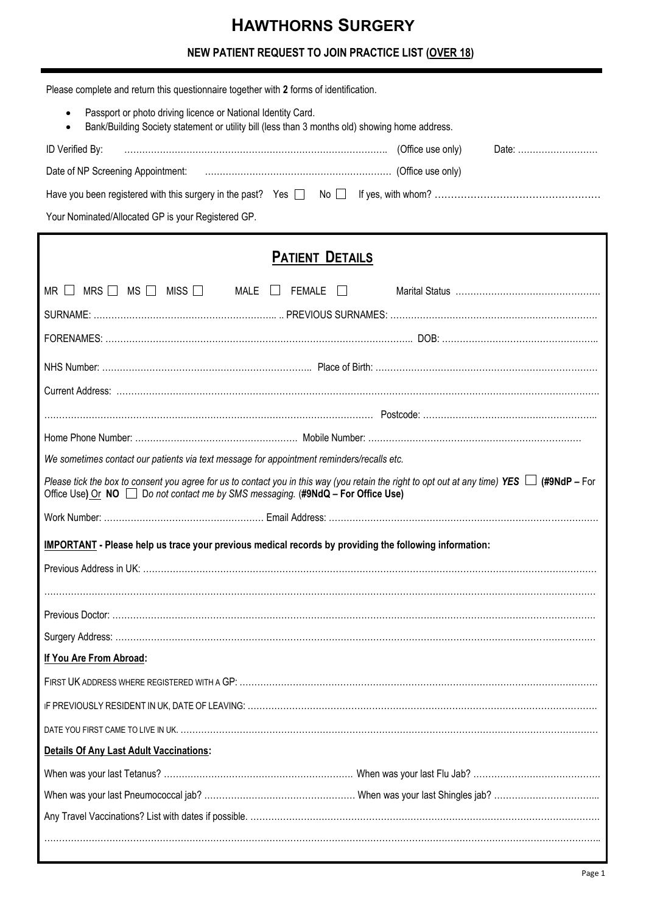# **HAWTHORNS SURGERY**

# **NEW PATIENT REQUEST TO JOIN PRACTICE LIST (OVER 18)**

| Please complete and return this questionnaire together with 2 forms of identification.                                                                                                                                             |  |  |  |  |  |
|------------------------------------------------------------------------------------------------------------------------------------------------------------------------------------------------------------------------------------|--|--|--|--|--|
| Passport or photo driving licence or National Identity Card.<br>$\bullet$<br>Bank/Building Society statement or utility bill (less than 3 months old) showing home address.                                                        |  |  |  |  |  |
| ID Verified By:<br>Date:                                                                                                                                                                                                           |  |  |  |  |  |
|                                                                                                                                                                                                                                    |  |  |  |  |  |
|                                                                                                                                                                                                                                    |  |  |  |  |  |
| Your Nominated/Allocated GP is your Registered GP.                                                                                                                                                                                 |  |  |  |  |  |
|                                                                                                                                                                                                                                    |  |  |  |  |  |
| <b>PATIENT DETAILS</b>                                                                                                                                                                                                             |  |  |  |  |  |
| MRS $\Box$<br>$MS \ \Box$<br>MISS<br>MALE<br><b>FEMALE</b><br>MR                                                                                                                                                                   |  |  |  |  |  |
|                                                                                                                                                                                                                                    |  |  |  |  |  |
|                                                                                                                                                                                                                                    |  |  |  |  |  |
|                                                                                                                                                                                                                                    |  |  |  |  |  |
|                                                                                                                                                                                                                                    |  |  |  |  |  |
|                                                                                                                                                                                                                                    |  |  |  |  |  |
|                                                                                                                                                                                                                                    |  |  |  |  |  |
| We sometimes contact our patients via text message for appointment reminders/recalls etc.                                                                                                                                          |  |  |  |  |  |
| Please tick the box to consent you agree for us to contact you in this way (you retain the right to opt out at any time) YES $\Box$ (#9NdP – For<br>Office Use) Or NO Do not contact me by SMS messaging. (#9NdQ - For Office Use) |  |  |  |  |  |
|                                                                                                                                                                                                                                    |  |  |  |  |  |

# **IMPORTANT - Please help us trace your previous medical records by providing the following information:**

| If You Are From Abroad:                        |  |
|------------------------------------------------|--|
|                                                |  |
|                                                |  |
|                                                |  |
| <b>Details Of Any Last Adult Vaccinations:</b> |  |
|                                                |  |
|                                                |  |
|                                                |  |
|                                                |  |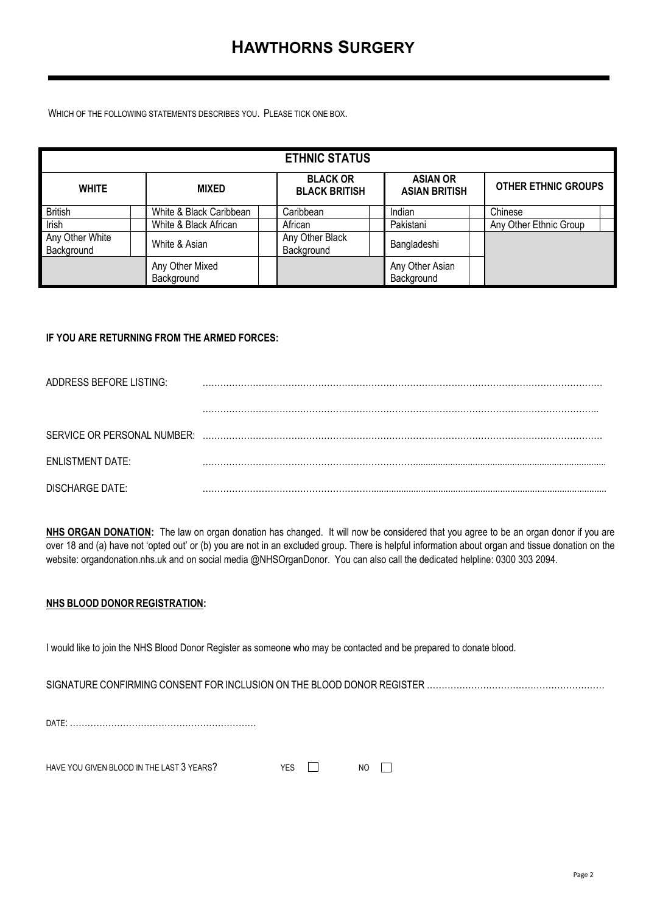WHICH OF THE FOLLOWING STATEMENTS DESCRIBES YOU. PLEASE TICK ONE BOX.

| <b>ETHNIC STATUS</b>          |                               |  |                                         |  |                                         |  |                            |  |
|-------------------------------|-------------------------------|--|-----------------------------------------|--|-----------------------------------------|--|----------------------------|--|
| <b>WHITE</b>                  | <b>MIXED</b>                  |  | <b>BLACK OR</b><br><b>BLACK BRITISH</b> |  | <b>ASIAN OR</b><br><b>ASIAN BRITISH</b> |  | <b>OTHER ETHNIC GROUPS</b> |  |
| <b>British</b>                | White & Black Caribbean       |  | Caribbean                               |  | Indian                                  |  | Chinese                    |  |
| Irish                         | White & Black African         |  | African                                 |  | Pakistani                               |  | Any Other Ethnic Group     |  |
| Any Other White<br>Background | White & Asian                 |  | Any Other Black<br>Background           |  | Bangladeshi                             |  |                            |  |
|                               | Any Other Mixed<br>Background |  |                                         |  | Any Other Asian<br>Background           |  |                            |  |

#### **IF YOU ARE RETURNING FROM THE ARMED FORCES:**

| ADDRESS BEFORE LISTING:     |  |
|-----------------------------|--|
|                             |  |
|                             |  |
|                             |  |
| SERVICE OR PERSONAL NUMBER: |  |
|                             |  |
| <b>ENLISTMENT DATE:</b>     |  |
|                             |  |
| <b>DISCHARGE DATE:</b>      |  |

**NHS ORGAN DONATION:** The law on organ donation has changed. It will now be considered that you agree to be an organ donor if you are over 18 and (a) have not 'opted out' or (b) you are not in an excluded group. There is helpful information about organ and tissue donation on the website: organdonation.nhs.uk and on social media @NHSOrganDonor. You can also call the dedicated helpline: 0300 303 2094.

#### **NHS BLOOD DONOR REGISTRATION:**

I would like to join the NHS Blood Donor Register as someone who may be contacted and be prepared to donate blood.

SIGNATURE CONFIRMING CONSENT FOR INCLUSION ON THE BLOOD DONOR REGISTER ……………………………………………………

DATE: ………………………………………………………

| HAVE YOU GIVEN BLOOD IN THE LAST 3 YEARS? |  | <b>NO</b> |
|-------------------------------------------|--|-----------|
|-------------------------------------------|--|-----------|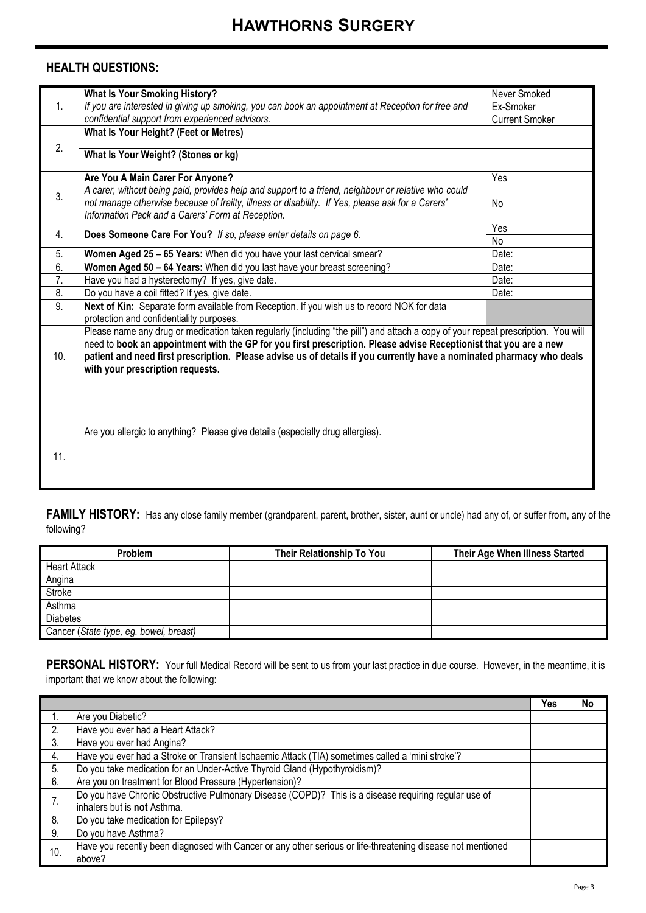## **HEALTH QUESTIONS:**

|     | <b>What Is Your Smoking History?</b>                                                                                                                                                                                                                                                                                                                                                                                | Never Smoked          |
|-----|---------------------------------------------------------------------------------------------------------------------------------------------------------------------------------------------------------------------------------------------------------------------------------------------------------------------------------------------------------------------------------------------------------------------|-----------------------|
| 1.  | If you are interested in giving up smoking, you can book an appointment at Reception for free and                                                                                                                                                                                                                                                                                                                   | Ex-Smoker             |
|     | confidential support from experienced advisors.                                                                                                                                                                                                                                                                                                                                                                     | <b>Current Smoker</b> |
|     | What Is Your Height? (Feet or Metres)                                                                                                                                                                                                                                                                                                                                                                               |                       |
| 2.  | What Is Your Weight? (Stones or kg)                                                                                                                                                                                                                                                                                                                                                                                 |                       |
|     | Are You A Main Carer For Anyone?<br>A carer, without being paid, provides help and support to a friend, neighbour or relative who could                                                                                                                                                                                                                                                                             | Yes                   |
| 3.  | not manage otherwise because of frailty, illness or disability. If Yes, please ask for a Carers'<br>Information Pack and a Carers' Form at Reception.                                                                                                                                                                                                                                                               | <b>No</b>             |
|     |                                                                                                                                                                                                                                                                                                                                                                                                                     | Yes                   |
| 4.  | Does Someone Care For You? If so, please enter details on page 6.                                                                                                                                                                                                                                                                                                                                                   | No                    |
| 5.  | Women Aged 25 - 65 Years: When did you have your last cervical smear?                                                                                                                                                                                                                                                                                                                                               | Date:                 |
| 6.  | Women Aged 50 - 64 Years: When did you last have your breast screening?                                                                                                                                                                                                                                                                                                                                             | Date:                 |
| 7.  | Have you had a hysterectomy? If yes, give date.                                                                                                                                                                                                                                                                                                                                                                     | Date:                 |
| 8.  | Do you have a coil fitted? If yes, give date.                                                                                                                                                                                                                                                                                                                                                                       | Date:                 |
| 9.  | Next of Kin: Separate form available from Reception. If you wish us to record NOK for data<br>protection and confidentiality purposes.                                                                                                                                                                                                                                                                              |                       |
| 10. | Please name any drug or medication taken regularly (including "the pill") and attach a copy of your repeat prescription. You will<br>need to book an appointment with the GP for you first prescription. Please advise Receptionist that you are a new<br>patient and need first prescription. Please advise us of details if you currently have a nominated pharmacy who deals<br>with your prescription requests. |                       |
| 11. | Are you allergic to anything? Please give details (especially drug allergies).                                                                                                                                                                                                                                                                                                                                      |                       |

FAMILY HISTORY: Has any close family member (grandparent, parent, brother, sister, aunt or uncle) had any of, or suffer from, any of the following?

| Problem                                | <b>Their Relationship To You</b> | Their Age When Illness Started |
|----------------------------------------|----------------------------------|--------------------------------|
| <b>Heart Attack</b>                    |                                  |                                |
| Angina                                 |                                  |                                |
| Stroke                                 |                                  |                                |
| Asthma                                 |                                  |                                |
| <b>Diabetes</b>                        |                                  |                                |
| Cancer (State type, eg. bowel, breast) |                                  |                                |

PERSONAL HISTORY: Your full Medical Record will be sent to us from your last practice in due course. However, in the meantime, it is important that we know about the following:

|     |                                                                                                             | Yes | No |
|-----|-------------------------------------------------------------------------------------------------------------|-----|----|
|     | Are you Diabetic?                                                                                           |     |    |
| 2.  | Have you ever had a Heart Attack?                                                                           |     |    |
| 3.  | Have you ever had Angina?                                                                                   |     |    |
| 4.  | Have you ever had a Stroke or Transient Ischaemic Attack (TIA) sometimes called a 'mini stroke'?            |     |    |
| 5.  | Do you take medication for an Under-Active Thyroid Gland (Hypothyroidism)?                                  |     |    |
| 6.  | Are you on treatment for Blood Pressure (Hypertension)?                                                     |     |    |
| 7.  | Do you have Chronic Obstructive Pulmonary Disease (COPD)? This is a disease requiring regular use of        |     |    |
|     | inhalers but is not Asthma.                                                                                 |     |    |
| 8.  | Do you take medication for Epilepsy?                                                                        |     |    |
| 9.  | Do you have Asthma?                                                                                         |     |    |
| 10. | Have you recently been diagnosed with Cancer or any other serious or life-threatening disease not mentioned |     |    |
|     | above?                                                                                                      |     |    |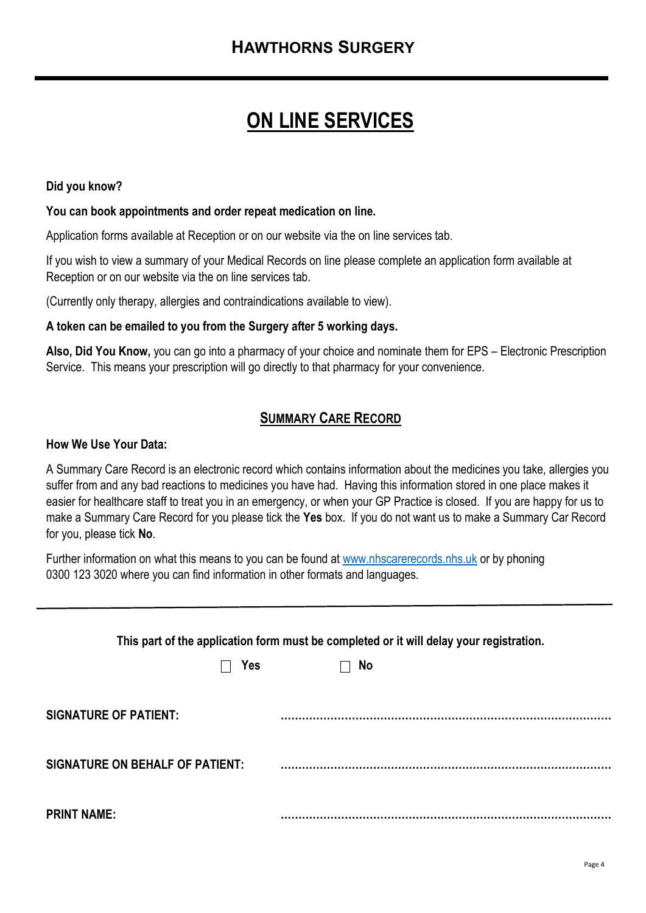# **ON LINE SERVICES**

## **Did you know?**

#### **You can book appointments and order repeat medication on line.**

Application forms available at Reception or on our website via the on line services tab.

If you wish to view a summary of your Medical Records on line please complete an application form available at Reception or on our website via the on line services tab.

(Currently only therapy, allergies and contraindications available to view).

#### **A token can be emailed to you from the Surgery after 5 working days.**

**Also, Did You Know,** you can go into a pharmacy of your choice and nominate them for EPS – Electronic Prescription Service. This means your prescription will go directly to that pharmacy for your convenience.

## **SUMMARY CARE RECORD**

#### **How We Use Your Data:**

A Summary Care Record is an electronic record which contains information about the medicines you take, allergies you suffer from and any bad reactions to medicines you have had. Having this information stored in one place makes it easier for healthcare staff to treat you in an emergency, or when your GP Practice is closed. If you are happy for us to make a Summary Care Record for you please tick the **Yes** box. If you do not want us to make a Summary Car Record for you, please tick **No**.

Further information on what this means to you can be found at [www.nhscarerecords.nhs.uk](http://www.nhscarerecords.nhs.uk/) or by phoning 0300 123 3020 where you can find information in other formats and languages.

| This part of the application form must be completed or it will delay your registration. |           |  |  |  |  |  |
|-----------------------------------------------------------------------------------------|-----------|--|--|--|--|--|
| <b>Yes</b>                                                                              | <b>No</b> |  |  |  |  |  |
| <b>SIGNATURE OF PATIENT:</b>                                                            |           |  |  |  |  |  |
| <b>SIGNATURE ON BEHALF OF PATIENT:</b>                                                  |           |  |  |  |  |  |
| <b>PRINT NAME:</b>                                                                      |           |  |  |  |  |  |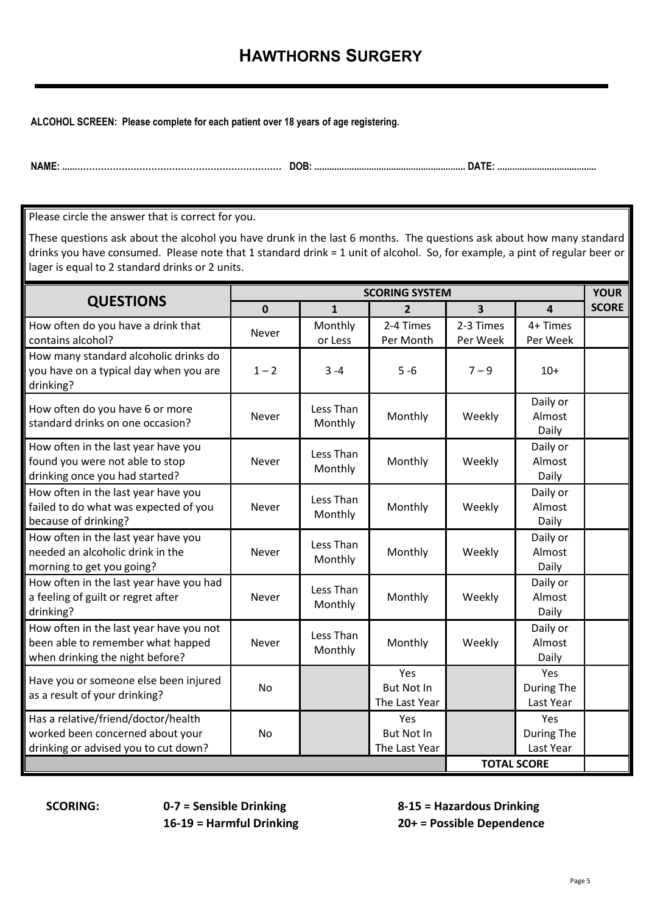# **HAWTHORNS SURGERY**

**ALCOHOL SCREEN: Please complete for each patient over 18 years of age registering.**

**NAME: ......…………………………………………………………… DOB: ............................................................. DATE: ........................................**

Please circle the answer that is correct for you.

These questions ask about the alcohol you have drunk in the last 6 months. The questions ask about how many standard drinks you have consumed. Please note that 1 standard drink = 1 unit of alcohol. So, for example, a pint of regular beer or lager is equal to 2 standard drinks or 2 units.

|                                                                                                                 | <b>YOUR</b><br><b>SCORING SYSTEM</b> |                      |                                           |                       |                                |              |
|-----------------------------------------------------------------------------------------------------------------|--------------------------------------|----------------------|-------------------------------------------|-----------------------|--------------------------------|--------------|
| <b>QUESTIONS</b>                                                                                                | $\mathbf 0$                          | $\mathbf{1}$         | $\overline{2}$                            | 3                     | $\overline{a}$                 | <b>SCORE</b> |
| How often do you have a drink that<br>contains alcohol?                                                         | Never                                | Monthly<br>or Less   | 2-4 Times<br>Per Month                    | 2-3 Times<br>Per Week | 4+ Times<br>Per Week           |              |
| How many standard alcoholic drinks do<br>you have on a typical day when you are<br>drinking?                    | $1 - 2$                              | $3 - 4$              | $5 - 6$                                   | $7 - 9$               | $10+$                          |              |
| How often do you have 6 or more<br>standard drinks on one occasion?                                             | <b>Never</b>                         | Less Than<br>Monthly | Monthly                                   | Weekly                | Daily or<br>Almost<br>Daily    |              |
| How often in the last year have you<br>found you were not able to stop<br>drinking once you had started?        | <b>Never</b>                         | Less Than<br>Monthly | Monthly                                   | Weekly                | Daily or<br>Almost<br>Daily    |              |
| How often in the last year have you<br>failed to do what was expected of you<br>because of drinking?            | Never                                | Less Than<br>Monthly | Monthly                                   | Weekly                | Daily or<br>Almost<br>Daily    |              |
| How often in the last year have you<br>needed an alcoholic drink in the<br>morning to get you going?            | <b>Never</b>                         | Less Than<br>Monthly | Monthly                                   | Weekly                | Daily or<br>Almost<br>Daily    |              |
| How often in the last year have you had<br>a feeling of guilt or regret after<br>drinking?                      | Never                                | Less Than<br>Monthly | Monthly                                   | Weekly                | Daily or<br>Almost<br>Daily    |              |
| How often in the last year have you not<br>been able to remember what happed<br>when drinking the night before? | Never                                | Less Than<br>Monthly | Monthly                                   | Weekly                | Daily or<br>Almost<br>Daily    |              |
| Have you or someone else been injured<br>as a result of your drinking?                                          | <b>No</b>                            |                      | Yes<br><b>But Not In</b><br>The Last Year |                       | Yes<br>During The<br>Last Year |              |
| Has a relative/friend/doctor/health<br>worked been concerned about your<br>drinking or advised you to cut down? | No                                   |                      | Yes<br><b>But Not In</b><br>The Last Year |                       | Yes<br>During The<br>Last Year |              |
| <b>TOTAL SCORE</b>                                                                                              |                                      |                      |                                           |                       |                                |              |

**SCORING: 0-7 = Sensible Drinking 8-15 = Hazardous Drinking 16-19 = Harmful Drinking 20+ = Possible Dependence**